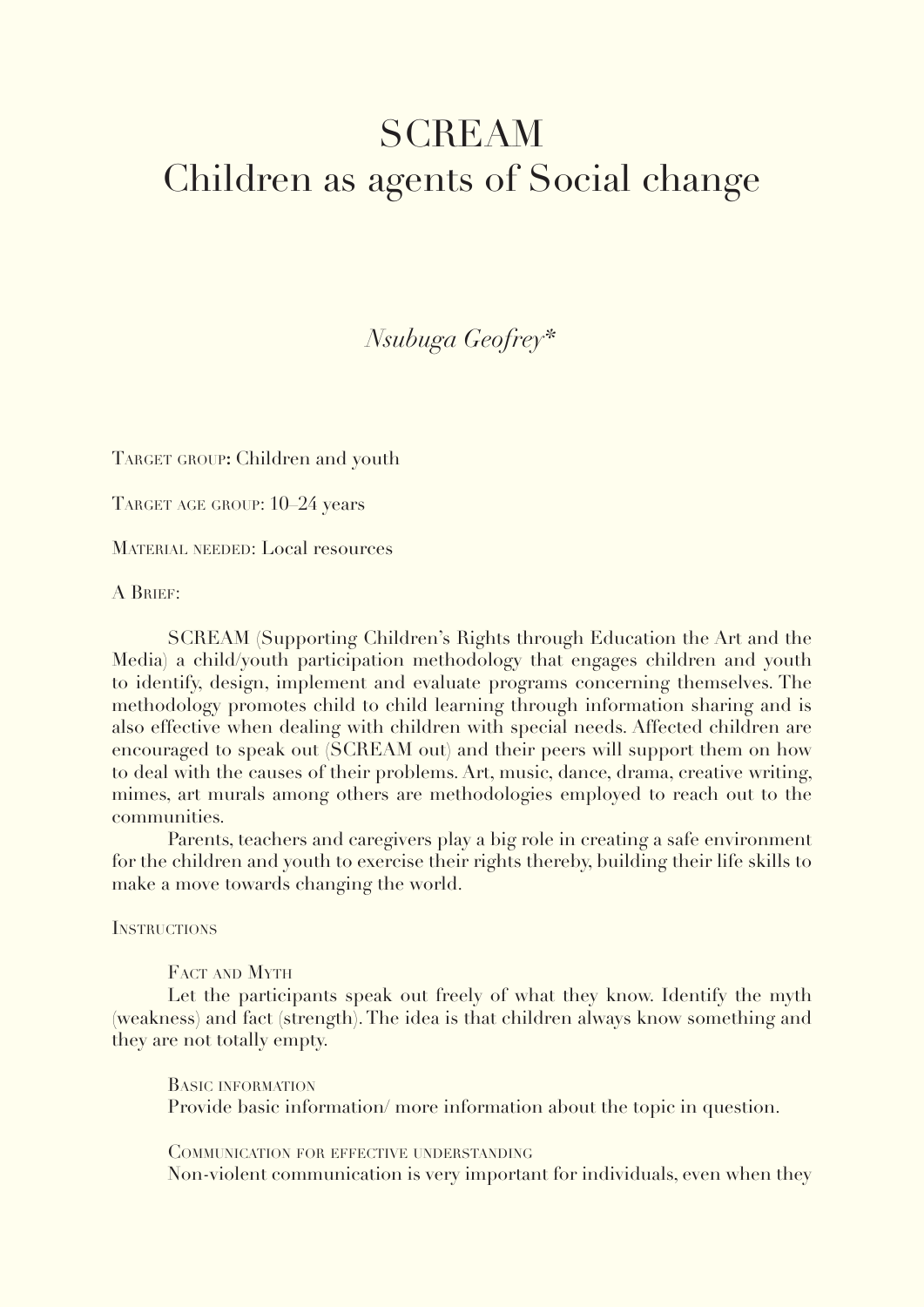## SCREAM Children as agents of Social change

*Nsubuga Geofrey\** 

TARGET GROUP: Children and youth

TARGET AGE GROUP: 10–24 years

MATERIAL NEEDED: Local resources

A Brief:

SCREAM (Supporting Children's Rights through Education the Art and the Media) a child/youth participation methodology that engages children and youth to identify, design, implement and evaluate programs concerning themselves. The methodology promotes child to child learning through information sharing and is also effective when dealing with children with special needs. Affected children are encouraged to speak out (SCREAM out) and their peers will support them on how to deal with the causes of their problems. Art, music, dance, drama, creative writing, mimes, art murals among others are methodologies employed to reach out to the communities.

Parents, teachers and caregivers play a big role in creating a safe environment for the children and youth to exercise their rights thereby, building their life skills to make a move towards changing the world.

**INSTRUCTIONS** 

FACT AND MYTH

Let the participants speak out freely of what they know. Identify the myth (weakness) and fact (strength). The idea is that children always know something and they are not totally empty.

Basic information Provide basic information/ more information about the topic in question.

Communication for effective understanding Non-violent communication is very important for individuals, even when they